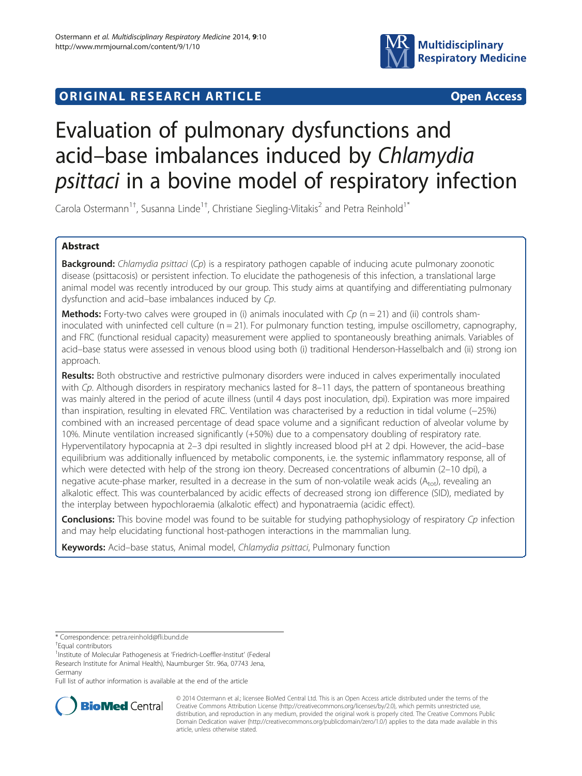

# **ORIGINAL RESEARCH ARTICLE CONSUMING ACCESS**

# Evaluation of pulmonary dysfunctions and acid–base imbalances induced by Chlamydia psittaci in a bovine model of respiratory infection

Carola Ostermann<sup>1†</sup>, Susanna Linde<sup>1†</sup>, Christiane Siegling-Vlitakis<sup>2</sup> and Petra Reinhold<sup>1\*</sup>

# Abstract

Background: Chlamydia psittaci (Cp) is a respiratory pathogen capable of inducing acute pulmonary zoonotic disease (psittacosis) or persistent infection. To elucidate the pathogenesis of this infection, a translational large animal model was recently introduced by our group. This study aims at quantifying and differentiating pulmonary dysfunction and acid–base imbalances induced by Cp.

**Methods:** Forty-two calves were grouped in (i) animals inoculated with  $Cp$  (n = 21) and (ii) controls shaminoculated with uninfected cell culture  $(n = 21)$ . For pulmonary function testing, impulse oscillometry, capnography, and FRC (functional residual capacity) measurement were applied to spontaneously breathing animals. Variables of acid–base status were assessed in venous blood using both (i) traditional Henderson-Hasselbalch and (ii) strong ion approach.

Results: Both obstructive and restrictive pulmonary disorders were induced in calves experimentally inoculated with Cp. Although disorders in respiratory mechanics lasted for 8–11 days, the pattern of spontaneous breathing was mainly altered in the period of acute illness (until 4 days post inoculation, dpi). Expiration was more impaired than inspiration, resulting in elevated FRC. Ventilation was characterised by a reduction in tidal volume (−25%) combined with an increased percentage of dead space volume and a significant reduction of alveolar volume by 10%. Minute ventilation increased significantly (+50%) due to a compensatory doubling of respiratory rate. Hyperventilatory hypocapnia at 2–3 dpi resulted in slightly increased blood pH at 2 dpi. However, the acid–base equilibrium was additionally influenced by metabolic components, i.e. the systemic inflammatory response, all of which were detected with help of the strong ion theory. Decreased concentrations of albumin (2-10 dpi), a negative acute-phase marker, resulted in a decrease in the sum of non-volatile weak acids  $(A_{tot})$ , revealing an alkalotic effect. This was counterbalanced by acidic effects of decreased strong ion difference (SID), mediated by the interplay between hypochloraemia (alkalotic effect) and hyponatraemia (acidic effect).

**Conclusions:** This bovine model was found to be suitable for studying pathophysiology of respiratory Cp infection and may help elucidating functional host-pathogen interactions in the mammalian lung.

Keywords: Acid-base status, Animal model, Chlamydia psittaci, Pulmonary function

Full list of author information is available at the end of the article



© 2014 Ostermann et al.; licensee BioMed Central Ltd. This is an Open Access article distributed under the terms of the Creative Commons Attribution License (<http://creativecommons.org/licenses/by/2.0>), which permits unrestricted use, distribution, and reproduction in any medium, provided the original work is properly cited. The Creative Commons Public Domain Dedication waiver [\(http://creativecommons.org/publicdomain/zero/1.0/\)](http://creativecommons.org/publicdomain/zero/1.0/) applies to the data made available in this article, unless otherwise stated.

<sup>\*</sup> Correspondence: [petra.reinhold@fli.bund.de](mailto:petra.reinhold@fli.bund.de) †

Equal contributors

<sup>&</sup>lt;sup>1</sup>Institute of Molecular Pathogenesis at 'Friedrich-Loeffler-Institut' (Federal Research Institute for Animal Health), Naumburger Str. 96a, 07743 Jena, Germany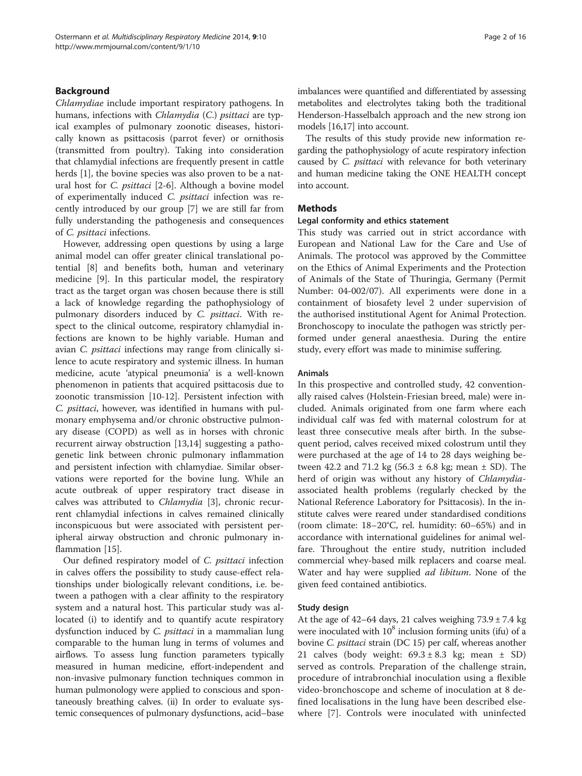# Background

Chlamydiae include important respiratory pathogens. In humans, infections with *Chlamydia* (C.) *psittaci* are typical examples of pulmonary zoonotic diseases, historically known as psittacosis (parrot fever) or ornithosis (transmitted from poultry). Taking into consideration that chlamydial infections are frequently present in cattle herds [\[1](#page-13-0)], the bovine species was also proven to be a natural host for C. psittaci [[2-6](#page-13-0)]. Although a bovine model of experimentally induced C. psittaci infection was recently introduced by our group [[7\]](#page-13-0) we are still far from fully understanding the pathogenesis and consequences of C. psittaci infections.

However, addressing open questions by using a large animal model can offer greater clinical translational potential [[8\]](#page-13-0) and benefits both, human and veterinary medicine [\[9\]](#page-13-0). In this particular model, the respiratory tract as the target organ was chosen because there is still a lack of knowledge regarding the pathophysiology of pulmonary disorders induced by C. psittaci. With respect to the clinical outcome, respiratory chlamydial infections are known to be highly variable. Human and avian C. psittaci infections may range from clinically silence to acute respiratory and systemic illness. In human medicine, acute 'atypical pneumonia' is a well-known phenomenon in patients that acquired psittacosis due to zoonotic transmission [\[10](#page-13-0)-[12\]](#page-13-0). Persistent infection with C. psittaci, however, was identified in humans with pulmonary emphysema and/or chronic obstructive pulmonary disease (COPD) as well as in horses with chronic recurrent airway obstruction [[13,14](#page-13-0)] suggesting a pathogenetic link between chronic pulmonary inflammation and persistent infection with chlamydiae. Similar observations were reported for the bovine lung. While an acute outbreak of upper respiratory tract disease in calves was attributed to Chlamydia [\[3](#page-13-0)], chronic recurrent chlamydial infections in calves remained clinically inconspicuous but were associated with persistent peripheral airway obstruction and chronic pulmonary inflammation [[15](#page-13-0)].

Our defined respiratory model of C. psittaci infection in calves offers the possibility to study cause-effect relationships under biologically relevant conditions, i.e. between a pathogen with a clear affinity to the respiratory system and a natural host. This particular study was allocated (i) to identify and to quantify acute respiratory dysfunction induced by C. psittaci in a mammalian lung comparable to the human lung in terms of volumes and airflows. To assess lung function parameters typically measured in human medicine, effort-independent and non-invasive pulmonary function techniques common in human pulmonology were applied to conscious and spontaneously breathing calves. (ii) In order to evaluate systemic consequences of pulmonary dysfunctions, acid–base imbalances were quantified and differentiated by assessing metabolites and electrolytes taking both the traditional Henderson-Hasselbalch approach and the new strong ion models [\[16,17](#page-13-0)] into account.

The results of this study provide new information regarding the pathophysiology of acute respiratory infection caused by *C. psittaci* with relevance for both veterinary and human medicine taking the ONE HEALTH concept into account.

# **Methods**

# Legal conformity and ethics statement

This study was carried out in strict accordance with European and National Law for the Care and Use of Animals. The protocol was approved by the Committee on the Ethics of Animal Experiments and the Protection of Animals of the State of Thuringia, Germany (Permit Number: 04-002/07). All experiments were done in a containment of biosafety level 2 under supervision of the authorised institutional Agent for Animal Protection. Bronchoscopy to inoculate the pathogen was strictly performed under general anaesthesia. During the entire study, every effort was made to minimise suffering.

#### Animals

In this prospective and controlled study, 42 conventionally raised calves (Holstein-Friesian breed, male) were included. Animals originated from one farm where each individual calf was fed with maternal colostrum for at least three consecutive meals after birth. In the subsequent period, calves received mixed colostrum until they were purchased at the age of 14 to 28 days weighing between 42.2 and 71.2 kg  $(56.3 \pm 6.8 \text{ kg})$ ; mean  $\pm$  SD). The herd of origin was without any history of Chlamydiaassociated health problems (regularly checked by the National Reference Laboratory for Psittacosis). In the institute calves were reared under standardised conditions (room climate: 18–20°C, rel. humidity: 60–65%) and in accordance with international guidelines for animal welfare. Throughout the entire study, nutrition included commercial whey-based milk replacers and coarse meal. Water and hay were supplied *ad libitum*. None of the given feed contained antibiotics.

# Study design

At the age of 42–64 days, 21 calves weighing  $73.9 \pm 7.4$  kg were inoculated with  $10^8$  inclusion forming units (ifu) of a bovine C. psittaci strain (DC 15) per calf, whereas another 21 calves (body weight:  $69.3 \pm 8.3$  kg; mean  $\pm$  SD) served as controls. Preparation of the challenge strain, procedure of intrabronchial inoculation using a flexible video-bronchoscope and scheme of inoculation at 8 defined localisations in the lung have been described elsewhere [[7\]](#page-13-0). Controls were inoculated with uninfected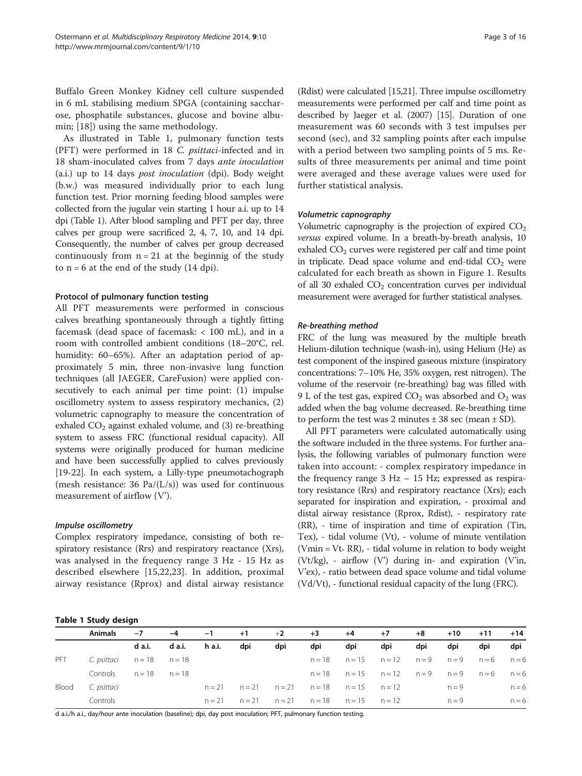Buffalo Green Monkey Kidney cell culture suspended in 6 mL stabilising medium SPGA (containing saccharose, phosphatile substances, glucose and bovine albumin; [[18\]](#page-13-0)) using the same methodology.

As illustrated in Table 1, pulmonary function tests (PFT) were performed in 18 C. psittaci-infected and in 18 sham-inoculated calves from 7 days ante inoculation (a.i.) up to 14 days post inoculation (dpi). Body weight (b.w.) was measured individually prior to each lung function test. Prior morning feeding blood samples were collected from the jugular vein starting 1 hour a.i. up to 14 dpi (Table 1). After blood sampling and PFT per day, three calves per group were sacrificed 2, 4, 7, 10, and 14 dpi. Consequently, the number of calves per group decreased continuously from  $n = 21$  at the beginnig of the study to  $n = 6$  at the end of the study (14 dpi).

# Protocol of pulmonary function testing

All PFT measurements were performed in conscious calves breathing spontaneously through a tightly fitting facemask (dead space of facemask: < 100 mL), and in a room with controlled ambient conditions (18–20°C, rel. humidity: 60–65%). After an adaptation period of approximately 5 min, three non-invasive lung function techniques (all JAEGER, CareFusion) were applied consecutively to each animal per time point: (1) impulse oscillometry system to assess respiratory mechanics, (2) volumetric capnography to measure the concentration of exhaled CO<sub>2</sub> against exhaled volume, and (3) re-breathing system to assess FRC (functional residual capacity). All systems were originally produced for human medicine and have been successfully applied to calves previously [[19](#page-13-0)-[22\]](#page-14-0). In each system, a Lilly-type pneumotachograph (mesh resistance: 36 Pa/(L/s)) was used for continuous measurement of airflow (V').

# Impulse oscillometry

Complex respiratory impedance, consisting of both respiratory resistance (Rrs) and respiratory reactance (Xrs), was analysed in the frequency range 3 Hz - 15 Hz as described elsewhere [\[15](#page-13-0),[22,23\]](#page-14-0). In addition, proximal airway resistance (Rprox) and distal airway resistance (Rdist) were calculated [[15](#page-13-0)[,21\]](#page-14-0). Three impulse oscillometry measurements were performed per calf and time point as described by Jaeger et al. (2007) [\[15\]](#page-13-0). Duration of one measurement was 60 seconds with 3 test impulses per second (sec), and 32 sampling points after each impulse with a period between two sampling points of 5 ms. Results of three measurements per animal and time point were averaged and these average values were used for

# Volumetric capnography

further statistical analysis.

Volumetric capnography is the projection of expired  $CO<sub>2</sub>$ versus expired volume. In a breath-by-breath analysis, 10 exhaled  $CO<sub>2</sub>$  curves were registered per calf and time point in triplicate. Dead space volume and end-tidal  $CO<sub>2</sub>$  were calculated for each breath as shown in Figure [1.](#page-3-0) Results of all 30 exhaled CO<sub>2</sub> concentration curves per individual measurement were averaged for further statistical analyses.

# Re-breathing method

FRC of the lung was measured by the multiple breath Helium-dilution technique (wash-in), using Helium (He) as test component of the inspired gaseous mixture (inspiratory concentrations: 7–10% He, 35% oxygen, rest nitrogen). The volume of the reservoir (re-breathing) bag was filled with 9 L of the test gas, expired  $CO<sub>2</sub>$  was absorbed and  $O<sub>2</sub>$  was added when the bag volume decreased. Re-breathing time to perform the test was 2 minutes  $\pm$  38 sec (mean  $\pm$  SD).

All PFT parameters were calculated automatically using the software included in the three systems. For further analysis, the following variables of pulmonary function were taken into account: - complex respiratory impedance in the frequency range 3 Hz – 15 Hz; expressed as respiratory resistance (Rrs) and respiratory reactance (Xrs); each separated for inspiration and expiration, - proximal and distal airway resistance (Rprox, Rdist), - respiratory rate (RR), - time of inspiration and time of expiration (Tin, Tex), - tidal volume (Vt), - volume of minute ventilation (Vmin = Vt $*$  RR), - tidal volume in relation to body weight (Vt/kg), - airflow (V') during in- and expiration (V'in, V'ex), - ratio between dead space volume and tidal volume (Vd/Vt), - functional residual capacity of the lung (FRC).

|  | Table 1 Study design |
|--|----------------------|
|  |                      |

|       | <b>Animals</b> | $-7$              | $-4$   | $-1$     | $+1$ | $+2$                               | $+3$     | $+4$                                         | $+7$                            | $+8$ | $+10$   | $+11$ | $+14$   |
|-------|----------------|-------------------|--------|----------|------|------------------------------------|----------|----------------------------------------------|---------------------------------|------|---------|-------|---------|
|       |                | d a.i.            | d a.i. | h a.i.   | dpi  | dpi                                | dpi      | dpi                                          | dpi                             | dpi  | dpi     | dpi   | dpi     |
| PFT   |                |                   |        |          |      |                                    | $n = 18$ |                                              | $n=15$ $n=12$ $n=9$ $n=9$ $n=6$ |      |         |       | $n = 6$ |
|       | Controls       | $n = 18$ $n = 18$ |        |          |      |                                    |          | $n=18$ $n=15$ $n=12$ $n=9$ $n=9$ $n=6$ $n=6$ |                                 |      |         |       |         |
| Blood | C. psittaci    |                   |        | $n = 21$ |      | $n=21$ $n=21$ $n=18$ $n=15$ $n=12$ |          |                                              |                                 |      | $n = 9$ |       | $n = 6$ |
|       | Controls       |                   |        | $n = 21$ |      | $n=21$ $n=21$ $n=18$ $n=15$ $n=12$ |          |                                              |                                 |      | $n = 9$ |       | $n = 6$ |

d a.i./h a.i., day/hour ante inoculation (baseline); dpi, day post inoculation; PFT, pulmonary function testing.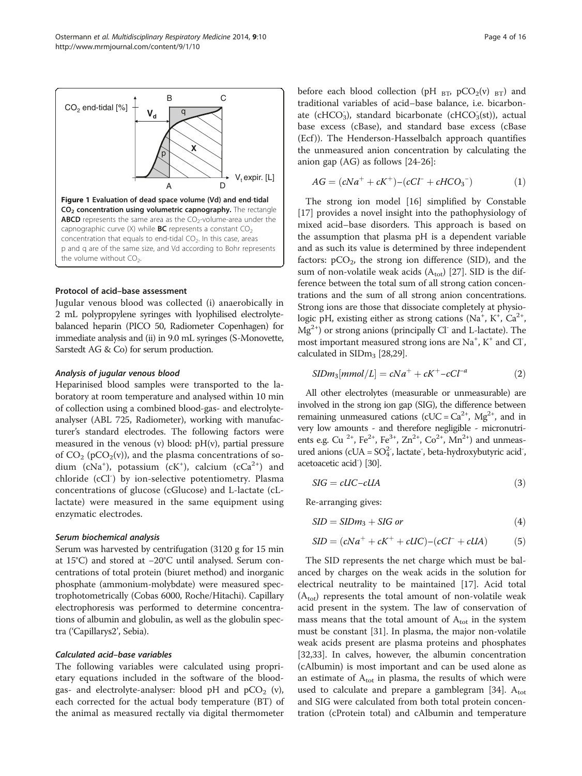<span id="page-3-0"></span>

#### Protocol of acid–base assessment

Jugular venous blood was collected (i) anaerobically in 2 mL polypropylene syringes with lyophilised electrolytebalanced heparin (PICO 50, Radiometer Copenhagen) for immediate analysis and (ii) in 9.0 mL syringes (S-Monovette, Sarstedt AG & Co) for serum production.

# Analysis of jugular venous blood

Heparinised blood samples were transported to the laboratory at room temperature and analysed within 10 min of collection using a combined blood-gas- and electrolyteanalyser (ABL 725, Radiometer), working with manufacturer's standard electrodes. The following factors were measured in the venous (v) blood: pH(v), partial pressure of  $CO_2$  (pCO<sub>2</sub>(v)), and the plasma concentrations of sodium ( $cNa<sup>+</sup>$ ), potassium ( $cK<sup>+</sup>$ ), calcium ( $cCa<sup>2+</sup>$ ) and chloride (cCl<sup>-</sup>) by ion-selective potentiometry. Plasma concentrations of glucose (cGlucose) and L-lactate (cLlactate) were measured in the same equipment using enzymatic electrodes.

# Serum biochemical analysis

Serum was harvested by centrifugation (3120 g for 15 min at 15°C) and stored at −20°C until analysed. Serum concentrations of total protein (biuret method) and inorganic phosphate (ammonium-molybdate) were measured spectrophotometrically (Cobas 6000, Roche/Hitachi). Capillary electrophoresis was performed to determine concentrations of albumin and globulin, as well as the globulin spectra ('Capillarys2', Sebia).

#### Calculated acid–base variables

The following variables were calculated using proprietary equations included in the software of the bloodgas- and electrolyte-analyser: blood pH and  $pCO_2$  (v), each corrected for the actual body temperature (BT) of the animal as measured rectally via digital thermometer before each blood collection (pH  $_{\text{BT}}$ , pCO<sub>2</sub>(v)  $_{\text{BT}}$ ) and traditional variables of acid–base balance, i.e. bicarbonate (cHCO<sub>3</sub>), standard bicarbonate (cHCO<sub>3</sub>(st)), actual base excess (cBase), and standard base excess (cBase (Ecf )). The Henderson-Hasselbalch approach quantifies the unmeasured anion concentration by calculating the anion gap (AG) as follows [\[24](#page-14-0)-[26\]](#page-14-0):

$$
AG = (cNa^{+} + cK^{+}) - (cCl^{-} + cHCO_{3}^{-})
$$
 (1)

The strong ion model [[16\]](#page-13-0) simplified by Constable [[17\]](#page-13-0) provides a novel insight into the pathophysiology of mixed acid–base disorders. This approach is based on the assumption that plasma pH is a dependent variable and as such its value is determined by three independent factors:  $pCO<sub>2</sub>$ , the strong ion difference (SID), and the sum of non-volatile weak acids  $(A<sub>tot</sub>)$  [[27](#page-14-0)]. SID is the difference between the total sum of all strong cation concentrations and the sum of all strong anion concentrations. Strong ions are those that dissociate completely at physiologic pH, existing either as strong cations (Na<sup>+</sup>, K<sup>+</sup>, Ca<sup>2+</sup>,  $Mg^{2+}$ ) or strong anions (principally Cl<sup>-</sup> and L-lactate). The most important measured strong ions are Na<sup>+</sup>, K<sup>+</sup> and Cl<sup>-</sup>, calculated in  $SIDm<sub>3</sub>$  [\[28,29\]](#page-14-0).

$$
SIDm_3[mmol/L] = cNa^+ + cK^+ - cCl^{-a}
$$
 (2)

All other electrolytes (measurable or unmeasurable) are involved in the strong ion gap (SIG), the difference between remaining unmeasured cations (cUC =  $Ca^{2+}$ , Mg<sup>2+</sup>, and in very low amounts - and therefore negligible - micronutrients e.g. Cu<sup>2+</sup>, Fe<sup>2+</sup>, Fe<sup>3+</sup>, Zn<sup>2+</sup>, Co<sup>2+</sup>, Mn<sup>2+</sup>) and unmeasured anions (cUA =  $SO_4^2$ , lactate, beta-hydroxybutyric acid, acetoacetic acid<sup>-</sup>) [\[30\]](#page-14-0).

$$
SIG = clIC - clIA
$$
 (3)

Re-arranging gives:

$$
SID = SIDm3 + SIG or
$$
 (4)

$$
SID = (cNa^{+} + cK^{+} + cUC) - (cCl^{-} + cUA)
$$
 (5)

The SID represents the net charge which must be balanced by charges on the weak acids in the solution for electrical neutrality to be maintained [[17\]](#page-13-0). Acid total  $(A<sub>tot</sub>)$  represents the total amount of non-volatile weak acid present in the system. The law of conservation of mass means that the total amount of  $A_{\text{tot}}$  in the system must be constant [\[31](#page-14-0)]. In plasma, the major non-volatile weak acids present are plasma proteins and phosphates [[32,33\]](#page-14-0). In calves, however, the albumin concentration (cAlbumin) is most important and can be used alone as an estimate of  $A_{\text{tot}}$  in plasma, the results of which were used to calculate and prepare a gamblegram [\[34](#page-14-0)].  $A_{\text{tot}}$ and SIG were calculated from both total protein concentration (cProtein total) and cAlbumin and temperature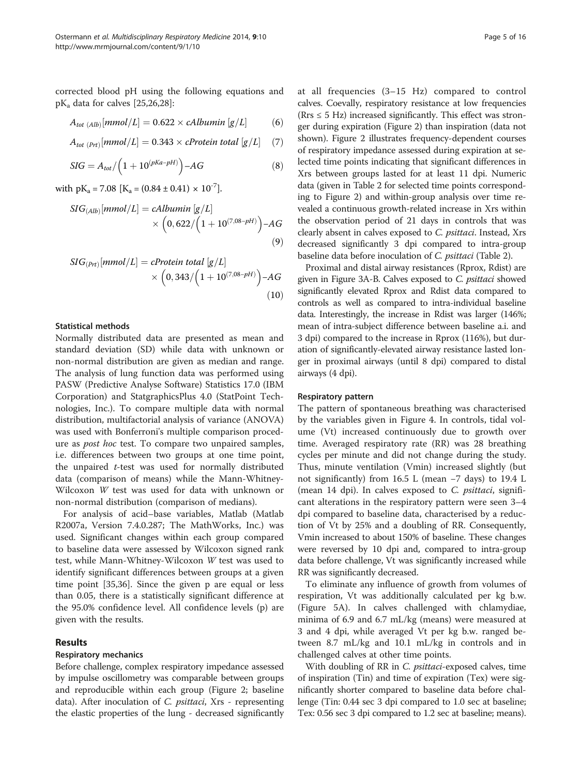corrected blood pH using the following equations and  $pK_a$  data for calves [[25](#page-14-0),[26](#page-14-0),[28](#page-14-0)]:

$$
A_{tot (Alb)}[mmol/L] = 0.622 \times \text{cAlbumin} [g/L] \tag{6}
$$

$$
A_{tot\ (Prt)}[mmol/L] = 0.343 \times cProtein\ total\ [g/L] \quad (7)
$$

$$
SIG = A_{tot} / \left(1 + 10^{(pKa - pH)}\right) - AG
$$
\n(8)

with  $pK_a = 7.08$   $[K_a = (0.84 \pm 0.41) \times 10^{-7}]$ .

$$
SIG_{(Alb)}[mmol/L] = \text{cAlbumin} [g/L] \times \left(0,622 / \left(1 + 10^{(7,08 - pH)}\right) - AG\right)
$$
\n(9)

$$
SIG_{(Prt)}[mmol/L] = cProtein total [g/L] \times (0,343 / (1 + 10^{(7,08 - pH)}) - AG
$$
\n(10)

# Statistical methods

Normally distributed data are presented as mean and standard deviation (SD) while data with unknown or non-normal distribution are given as median and range. The analysis of lung function data was performed using PASW (Predictive Analyse Software) Statistics 17.0 (IBM Corporation) and StatgraphicsPlus 4.0 (StatPoint Technologies, Inc.). To compare multiple data with normal distribution, multifactorial analysis of variance (ANOVA) was used with Bonferroni's multiple comparison procedure as post hoc test. To compare two unpaired samples, i.e. differences between two groups at one time point, the unpaired t-test was used for normally distributed data (comparison of means) while the Mann-Whitney-Wilcoxon W test was used for data with unknown or non-normal distribution (comparison of medians).

For analysis of acid–base variables, Matlab (Matlab R2007a, Version 7.4.0.287; The MathWorks, Inc.) was used. Significant changes within each group compared to baseline data were assessed by Wilcoxon signed rank test, while Mann-Whitney-Wilcoxon W test was used to identify significant differences between groups at a given time point [[35](#page-14-0),[36](#page-14-0)]. Since the given p are equal or less than 0.05, there is a statistically significant difference at the 95.0% confidence level. All confidence levels (p) are given with the results.

# Results

#### Respiratory mechanics

Before challenge, complex respiratory impedance assessed by impulse oscillometry was comparable between groups and reproducible within each group (Figure [2](#page-5-0); baseline data). After inoculation of C. psittaci, Xrs - representing the elastic properties of the lung - decreased significantly

at all frequencies (3–15 Hz) compared to control calves. Coevally, respiratory resistance at low frequencies  $(Rrs \leq 5 Hz)$  increased significantly. This effect was stronger during expiration (Figure [2](#page-5-0)) than inspiration (data not shown). Figure [2](#page-5-0) illustrates frequency-dependent courses of respiratory impedance assessed during expiration at selected time points indicating that significant differences in Xrs between groups lasted for at least 11 dpi. Numeric data (given in Table [2](#page-6-0) for selected time points corresponding to Figure [2](#page-5-0)) and within-group analysis over time revealed a continuous growth-related increase in Xrs within the observation period of 21 days in controls that was clearly absent in calves exposed to C. psittaci. Instead, Xrs decreased significantly 3 dpi compared to intra-group baseline data before inoculation of C. psittaci (Table [2\)](#page-6-0).

Proximal and distal airway resistances (Rprox, Rdist) are given in Figure [3A](#page-7-0)-B. Calves exposed to C. psittaci showed significantly elevated Rprox and Rdist data compared to controls as well as compared to intra-individual baseline data. Interestingly, the increase in Rdist was larger (146%; mean of intra-subject difference between baseline a.i. and 3 dpi) compared to the increase in Rprox (116%), but duration of significantly-elevated airway resistance lasted longer in proximal airways (until 8 dpi) compared to distal airways (4 dpi).

# Respiratory pattern

The pattern of spontaneous breathing was characterised by the variables given in Figure [4](#page-8-0). In controls, tidal volume (Vt) increased continuously due to growth over time. Averaged respiratory rate (RR) was 28 breathing cycles per minute and did not change during the study. Thus, minute ventilation (Vmin) increased slightly (but not significantly) from 16.5 L (mean −7 days) to 19.4 L (mean 14 dpi). In calves exposed to C. *psittaci*, significant alterations in the respiratory pattern were seen 3–4 dpi compared to baseline data, characterised by a reduction of Vt by 25% and a doubling of RR. Consequently, Vmin increased to about 150% of baseline. These changes were reversed by 10 dpi and, compared to intra-group data before challenge, Vt was significantly increased while RR was significantly decreased.

To eliminate any influence of growth from volumes of respiration, Vt was additionally calculated per kg b.w. (Figure [5](#page-9-0)A). In calves challenged with chlamydiae, minima of 6.9 and 6.7 mL/kg (means) were measured at 3 and 4 dpi, while averaged Vt per kg b.w. ranged between 8.7 mL/kg and 10.1 mL/kg in controls and in challenged calves at other time points.

With doubling of RR in C. *psittaci*-exposed calves, time of inspiration (Tin) and time of expiration (Tex) were significantly shorter compared to baseline data before challenge (Tin: 0.44 sec 3 dpi compared to 1.0 sec at baseline; Tex: 0.56 sec 3 dpi compared to 1.2 sec at baseline; means).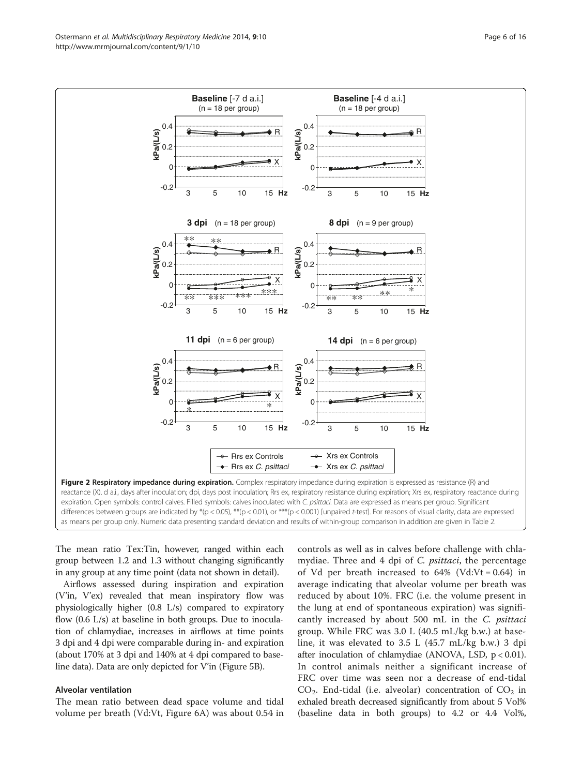<span id="page-5-0"></span>

The mean ratio Tex:Tin, however, ranged within each group between 1.2 and 1.3 without changing significantly in any group at any time point (data not shown in detail).

Airflows assessed during inspiration and expiration (V'in, V'ex) revealed that mean inspiratory flow was physiologically higher (0.8 L/s) compared to expiratory flow  $(0.6 \text{ L/s})$  at baseline in both groups. Due to inoculation of chlamydiae, increases in airflows at time points 3 dpi and 4 dpi were comparable during in- and expiration (about 170% at 3 dpi and 140% at 4 dpi compared to baseline data). Data are only depicted for V'in (Figure [5](#page-9-0)B).

# Alveolar ventilation

The mean ratio between dead space volume and tidal volume per breath (Vd:Vt, Figure [6](#page-10-0)A) was about 0.54 in

controls as well as in calves before challenge with chlamydiae. Three and 4 dpi of C. psittaci, the percentage of Vd per breath increased to  $64\%$  (Vd:Vt = 0.64) in average indicating that alveolar volume per breath was reduced by about 10%. FRC (i.e. the volume present in the lung at end of spontaneous expiration) was significantly increased by about 500 mL in the C. psittaci group. While FRC was 3.0 L (40.5 mL/kg b.w.) at baseline, it was elevated to 3.5 L (45.7 mL/kg b.w.) 3 dpi after inoculation of chlamydiae (ANOVA, LSD, p < 0.01). In control animals neither a significant increase of FRC over time was seen nor a decrease of end-tidal  $CO<sub>2</sub>$ . End-tidal (i.e. alveolar) concentration of  $CO<sub>2</sub>$  in exhaled breath decreased significantly from about 5 Vol% (baseline data in both groups) to 4.2 or 4.4 Vol%,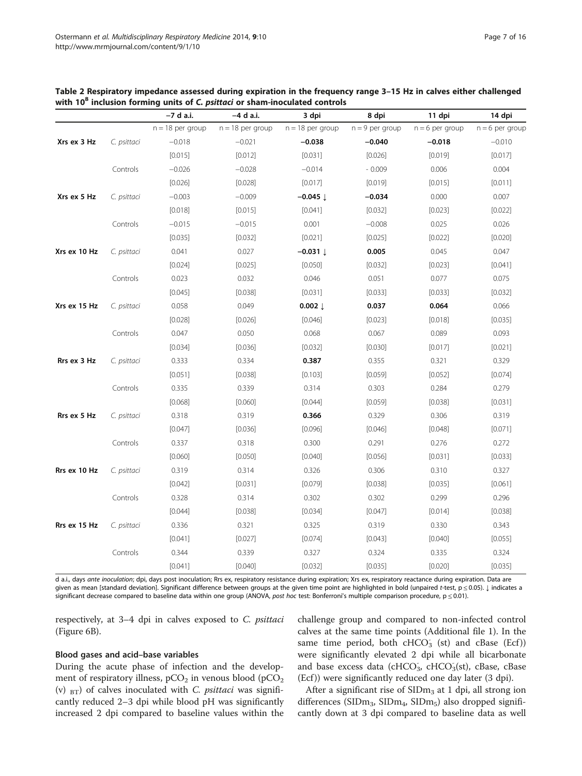<span id="page-6-0"></span>

| Table 2 Respiratory impedance assessed during expiration in the frequency range 3-15 Hz in calves either challenged |  |
|---------------------------------------------------------------------------------------------------------------------|--|
| with 10 <sup>8</sup> inclusion forming units of C. psittaci or sham-inoculated controls                             |  |

|              |             | -7 d a.i.          | –4 d a.i.          | 3 dpi                 | 8 dpi             | 11 dpi            | 14 dpi            |
|--------------|-------------|--------------------|--------------------|-----------------------|-------------------|-------------------|-------------------|
|              |             | $n = 18$ per group | $n = 18$ per group | $n = 18$ per group    | $n = 9$ per group | $n = 6$ per group | $n = 6$ per group |
| Xrs ex 3 Hz  | C. psittaci | $-0.018$           | $-0.021$           | $-0.038$              | $-0.040$          | $-0.018$          | $-0.010$          |
|              |             | [0.015]            | [0.012]            | [0.031]               | [0.026]           | [0.019]           | [0.017]           |
|              | Controls    | $-0.026$           | $-0.028$           | $-0.014$              | $-0.009$          | 0.006             | 0.004             |
|              |             | [0.026]            | [0.028]            | [0.017]               | [0.019]           | [0.015]           | [0.011]           |
| Xrs ex 5 Hz  | C. psittaci | $-0.003$           | $-0.009$           | $-0.045$ $\downarrow$ | $-0.034$          | 0.000             | 0.007             |
|              |             | [0.018]            | [0.015]            | [0.041]               | [0.032]           | [0.023]           | [0.022]           |
|              | Controls    | $-0.015$           | $-0.015$           | 0.001                 | $-0.008$          | 0.025             | 0.026             |
|              |             | [0.035]            | [0.032]            | [0.021]               | [0.025]           | [0.022]           | [0.020]           |
| Xrs ex 10 Hz | C. psittaci | 0.041              | 0.027              | $-0.031 \downarrow$   | 0.005             | 0.045             | 0.047             |
|              |             | [0.024]            | [0.025]            | [0.050]               | [0.032]           | [0.023]           | [0.041]           |
|              | Controls    | 0.023              | 0.032              | 0.046                 | 0.051             | 0.077             | 0.075             |
|              |             | [0.045]            | [0.038]            | [0.031]               | [0.033]           | [0.033]           | [0.032]           |
| Xrs ex 15 Hz | C. psittaci | 0.058              | 0.049              | $0.002 \downarrow$    | 0.037             | 0.064             | 0.066             |
|              |             | [0.028]            | [0.026]            | [0.046]               | [0.023]           | [0.018]           | [0.035]           |
|              | Controls    | 0.047              | 0.050              | 0.068                 | 0.067             | 0.089             | 0.093             |
|              |             | [0.034]            | [0.036]            | [0.032]               | [0.030]           | [0.017]           | [0.021]           |
| Rrs ex 3 Hz  | C. psittaci | 0.333              | 0.334              | 0.387                 | 0.355             | 0.321             | 0.329             |
|              |             | [0.051]            | [0.038]            | [0.103]               | [0.059]           | [0.052]           | [0.074]           |
|              | Controls    | 0.335              | 0.339              | 0.314                 | 0.303             | 0.284             | 0.279             |
|              |             | [0.068]            | [0.060]            | [0.044]               | [0.059]           | [0.038]           | [0.031]           |
| Rrs ex 5 Hz  | C. psittaci | 0.318              | 0.319              | 0.366                 | 0.329             | 0.306             | 0.319             |
|              |             | [0.047]            | [0.036]            | [0.096]               | [0.046]           | [0.048]           | [0.071]           |
|              | Controls    | 0.337              | 0.318              | 0.300                 | 0.291             | 0.276             | 0.272             |
|              |             | [0.060]            | [0.050]            | [0.040]               | [0.056]           | [0.031]           | [0.033]           |
| Rrs ex 10 Hz | C. psittaci | 0.319              | 0.314              | 0.326                 | 0.306             | 0.310             | 0.327             |
|              |             | [0.042]            | [0.031]            | [0.079]               | [0.038]           | [0.035]           | [0.061]           |
|              | Controls    | 0.328              | 0.314              | 0.302                 | 0.302             | 0.299             | 0.296             |
|              |             | [0.044]            | [0.038]            | [0.034]               | [0.047]           | [0.014]           | [0.038]           |
| Rrs ex 15 Hz | C. psittaci | 0.336              | 0.321              | 0.325                 | 0.319             | 0.330             | 0.343             |
|              |             | [0.041]            | [0.027]            | [0.074]               | [0.043]           | [0.040]           | [0.055]           |
|              | Controls    | 0.344              | 0.339              | 0.327                 | 0.324             | 0.335             | 0.324             |
|              |             | [0.041]            | [0.040]            | [0.032]               | [0.035]           | [0.020]           | [0.035]           |

d a.i., days ante inoculation; dpi, days post inoculation; Rrs ex, respiratory resistance during expiration; Xrs ex, respiratory reactance during expiration. Data are given as mean [standard deviation]. Significant difference between groups at the given time point are highlighted in bold (unpaired t-test, p ≤ 0.05). ↓ indicates a significant decrease compared to baseline data within one group (ANOVA, post hoc test: Bonferroni's multiple comparison procedure,  $p \le 0.01$ ).

respectively, at 3–4 dpi in calves exposed to C. psittaci (Figure [6](#page-10-0)B).

# Blood gases and acid–base variables

During the acute phase of infection and the development of respiratory illness,  $pCO<sub>2</sub>$  in venous blood ( $pCO<sub>2</sub>$ (v)  $_{\text{BT}}$ ) of calves inoculated with *C. psittaci* was significantly reduced 2–3 dpi while blood pH was significantly increased 2 dpi compared to baseline values within the

challenge group and compared to non-infected control calves at the same time points (Additional file [1\)](#page-12-0). In the same time period, both cHCO<sub>3</sub> (st) and cBase (Ecf)) were significantly elevated 2 dpi while all bicarbonate and base excess data (cHCO<sub>3</sub>, cHCO<sub>3</sub>(st), cBase, cBase (Ecf )) were significantly reduced one day later (3 dpi).

After a significant rise of  $SIDm<sub>3</sub>$  at 1 dpi, all strong ion differences (SIDm<sub>3</sub>, SIDm<sub>4</sub>, SIDm<sub>5</sub>) also dropped significantly down at 3 dpi compared to baseline data as well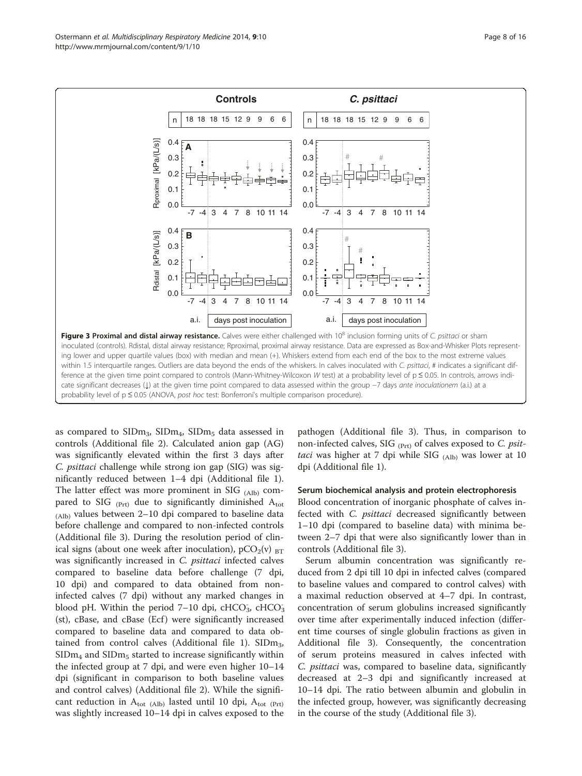<span id="page-7-0"></span>

as compared to  $\text{SIDm}_3$ ,  $\text{SIDm}_4$ ,  $\text{SIDm}_5$  data assessed in controls (Additional file [2\)](#page-13-0). Calculated anion gap (AG) was significantly elevated within the first 3 days after C. psittaci challenge while strong ion gap (SIG) was significantly reduced between 1–4 dpi (Additional file [1](#page-12-0)). The latter effect was more prominent in SIG  $_{(Alb)}$  compared to SIG  $_{(Prt)}$  due to significantly diminished  $A_{tot}$ (Alb) values between 2–10 dpi compared to baseline data before challenge and compared to non-infected controls (Additional file [3\)](#page-13-0). During the resolution period of clinical signs (about one week after inoculation),  $pCO_2(v)$   $_{BT}$ was significantly increased in C. *psittaci* infected calves compared to baseline data before challenge (7 dpi, 10 dpi) and compared to data obtained from noninfected calves (7 dpi) without any marked changes in blood pH. Within the period  $7-10$  dpi,  $cHCO<sub>3</sub>$ ,  $cHCO<sub>3</sub>$ (st), cBase, and cBase (Ecf ) were significantly increased compared to baseline data and compared to data ob-tained from control calves (Additional file [1](#page-12-0)).  $\text{SIDm}_3$ ,  $SIDm<sub>4</sub>$  and  $SIDm<sub>5</sub>$  started to increase significantly within the infected group at 7 dpi, and were even higher 10–14 dpi (significant in comparison to both baseline values and control calves) (Additional file [2](#page-13-0)). While the significant reduction in  $A_{\text{tot (Alb)}}$  lasted until 10 dpi,  $A_{\text{tot (Prt)}}$ was slightly increased 10–14 dpi in calves exposed to the

pathogen (Additional file [3](#page-13-0)). Thus, in comparison to non-infected calves, SIG  $_{(Prt)}$  of calves exposed to C. psittaci was higher at 7 dpi while SIG  $_{(Alb)}$  was lower at 10 dpi (Additional file [1](#page-12-0)).

#### Serum biochemical analysis and protein electrophoresis

Blood concentration of inorganic phosphate of calves infected with C. psittaci decreased significantly between 1–10 dpi (compared to baseline data) with minima between 2–7 dpi that were also significantly lower than in controls (Additional file [3](#page-13-0)).

Serum albumin concentration was significantly reduced from 2 dpi till 10 dpi in infected calves (compared to baseline values and compared to control calves) with a maximal reduction observed at 4–7 dpi. In contrast, concentration of serum globulins increased significantly over time after experimentally induced infection (different time courses of single globulin fractions as given in Additional file [3](#page-13-0)). Consequently, the concentration of serum proteins measured in calves infected with C. psittaci was, compared to baseline data, significantly decreased at 2–3 dpi and significantly increased at 10–14 dpi. The ratio between albumin and globulin in the infected group, however, was significantly decreasing in the course of the study (Additional file [3](#page-13-0)).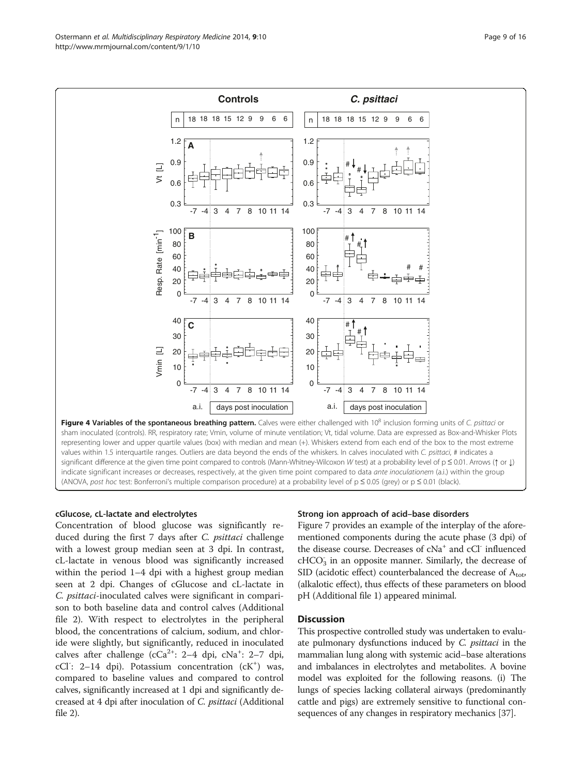<span id="page-8-0"></span>

# cGlucose, cL-lactate and electrolytes

Concentration of blood glucose was significantly reduced during the first 7 days after C. psittaci challenge with a lowest group median seen at 3 dpi. In contrast, cL-lactate in venous blood was significantly increased within the period 1–4 dpi with a highest group median seen at 2 dpi. Changes of cGlucose and cL-lactate in C. psittaci-inoculated calves were significant in comparison to both baseline data and control calves (Additional file [2\)](#page-13-0). With respect to electrolytes in the peripheral blood, the concentrations of calcium, sodium, and chloride were slightly, but significantly, reduced in inoculated calves after challenge (cCa<sup>2+</sup>: 2-4 dpi, cNa<sup>+</sup>: 2-7 dpi, cCl<sup>-</sup>: 2-14 dpi). Potassium concentration (cK<sup>+</sup>) was, compared to baseline values and compared to control calves, significantly increased at 1 dpi and significantly decreased at 4 dpi after inoculation of C. psittaci (Additional file [2](#page-13-0)).

# Strong ion approach of acid–base disorders

Figure [7](#page-10-0) provides an example of the interplay of the aforementioned components during the acute phase (3 dpi) of the disease course. Decreases of cNa<sup>+</sup> and cCl<sup>-</sup> influenced cHCO<sub>3</sub> in an opposite manner. Similarly, the decrease of SID (acidotic effect) counterbalanced the decrease of  $A_{\text{tot}}$ , (alkalotic effect), thus effects of these parameters on blood pH (Additional file [1](#page-12-0)) appeared minimal.

# **Discussion**

This prospective controlled study was undertaken to evaluate pulmonary dysfunctions induced by C. *psittaci* in the mammalian lung along with systemic acid–base alterations and imbalances in electrolytes and metabolites. A bovine model was exploited for the following reasons. (i) The lungs of species lacking collateral airways (predominantly cattle and pigs) are extremely sensitive to functional consequences of any changes in respiratory mechanics [\[37\]](#page-14-0).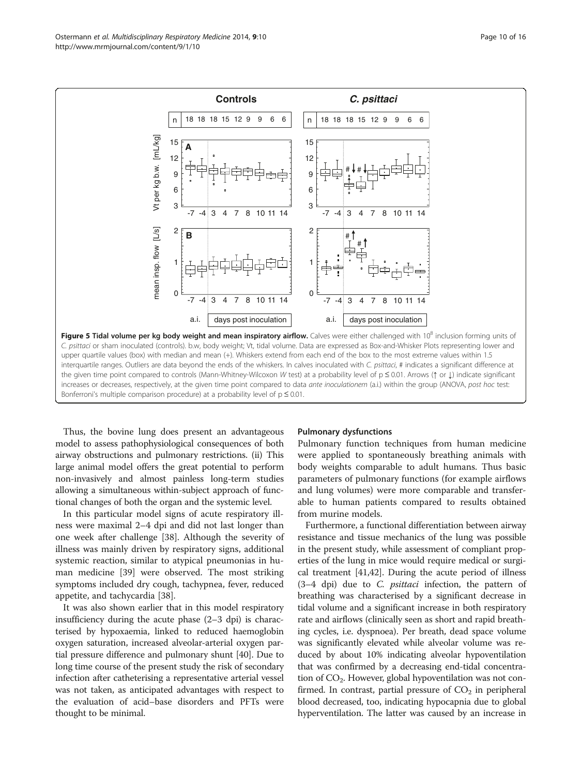<span id="page-9-0"></span>

Thus, the bovine lung does present an advantageous model to assess pathophysiological consequences of both airway obstructions and pulmonary restrictions. (ii) This large animal model offers the great potential to perform non-invasively and almost painless long-term studies allowing a simultaneous within-subject approach of functional changes of both the organ and the systemic level.

In this particular model signs of acute respiratory illness were maximal 2–4 dpi and did not last longer than one week after challenge [[38](#page-14-0)]. Although the severity of illness was mainly driven by respiratory signs, additional systemic reaction, similar to atypical pneumonias in human medicine [[39](#page-14-0)] were observed. The most striking symptoms included dry cough, tachypnea, fever, reduced appetite, and tachycardia [[38\]](#page-14-0).

It was also shown earlier that in this model respiratory insufficiency during the acute phase (2–3 dpi) is characterised by hypoxaemia, linked to reduced haemoglobin oxygen saturation, increased alveolar-arterial oxygen partial pressure difference and pulmonary shunt [[40](#page-14-0)]. Due to long time course of the present study the risk of secondary infection after catheterising a representative arterial vessel was not taken, as anticipated advantages with respect to the evaluation of acid–base disorders and PFTs were thought to be minimal.

#### Pulmonary dysfunctions

Pulmonary function techniques from human medicine were applied to spontaneously breathing animals with body weights comparable to adult humans. Thus basic parameters of pulmonary functions (for example airflows and lung volumes) were more comparable and transferable to human patients compared to results obtained from murine models.

Furthermore, a functional differentiation between airway resistance and tissue mechanics of the lung was possible in the present study, while assessment of compliant properties of the lung in mice would require medical or surgical treatment [[41,42\]](#page-14-0). During the acute period of illness  $(3-4$  dpi) due to *C. psittaci* infection, the pattern of breathing was characterised by a significant decrease in tidal volume and a significant increase in both respiratory rate and airflows (clinically seen as short and rapid breathing cycles, i.e. dyspnoea). Per breath, dead space volume was significantly elevated while alveolar volume was reduced by about 10% indicating alveolar hypoventilation that was confirmed by a decreasing end-tidal concentration of  $CO<sub>2</sub>$ . However, global hypoventilation was not confirmed. In contrast, partial pressure of  $CO<sub>2</sub>$  in peripheral blood decreased, too, indicating hypocapnia due to global hyperventilation. The latter was caused by an increase in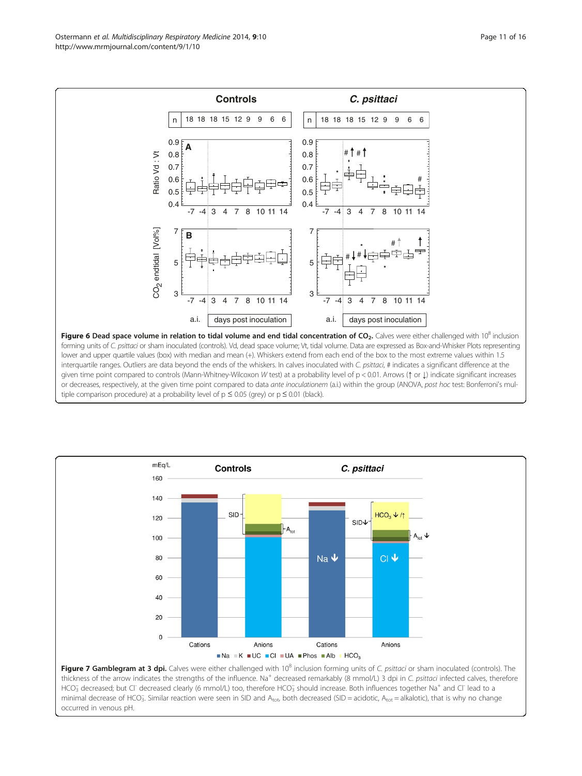<span id="page-10-0"></span>

or decreases, respectively, at the given time point compared to data ante inoculationem (a.i.) within the group (ANOVA, post hoc test: Bonferroni's multiple comparison procedure) at a probability level of  $p \le 0.05$  (grey) or  $p \le 0.01$  (black).



Figure 7 Gamblegram at 3 dpi. Calves were either challenged with 10<sup>8</sup> inclusion forming units of C. psittaci or sham inoculated (controls). The thickness of the arrow indicates the strengths of the influence. Na<sup>+</sup> decreased remarkably (8 mmol/L) 3 dpi in C. psittaci infected calves, therefore HCO<sub>3</sub> decreased; but Cl<sup>-</sup> decreased clearly (6 mmol/L) too, therefore HCO<sub>3</sub> should increase. Both influences together Na<sup>+</sup> and Cl<sup>-</sup> lead to a minimal decrease of HCO<sub>3</sub>. Similar reaction were seen in SID and A<sub>tot</sub>, both decreased (SID = acidotic, A<sub>tot</sub> = alkalotic), that is why no change occurred in venous pH.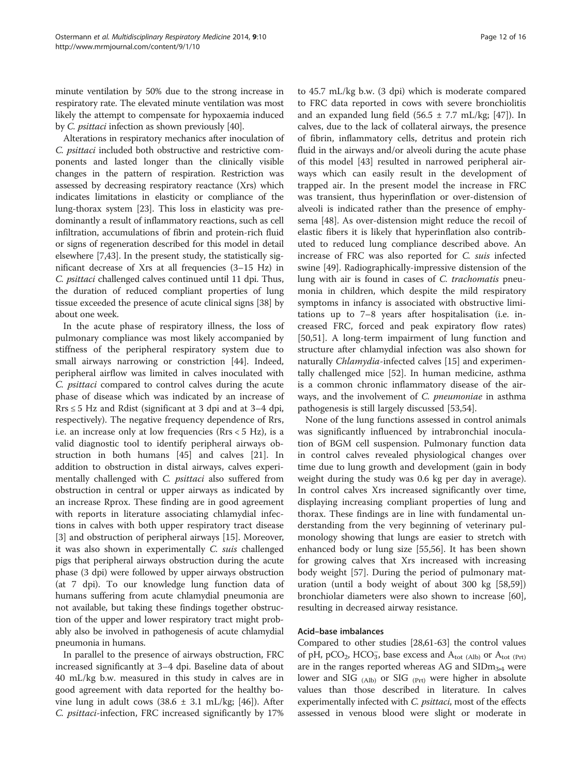minute ventilation by 50% due to the strong increase in respiratory rate. The elevated minute ventilation was most likely the attempt to compensate for hypoxaemia induced by C. psittaci infection as shown previously [\[40\]](#page-14-0).

Alterations in respiratory mechanics after inoculation of C. psittaci included both obstructive and restrictive components and lasted longer than the clinically visible changes in the pattern of respiration. Restriction was assessed by decreasing respiratory reactance (Xrs) which indicates limitations in elasticity or compliance of the lung-thorax system [\[23\]](#page-14-0). This loss in elasticity was predominantly a result of inflammatory reactions, such as cell infiltration, accumulations of fibrin and protein-rich fluid or signs of regeneration described for this model in detail elsewhere [[7,](#page-13-0)[43](#page-14-0)]. In the present study, the statistically significant decrease of Xrs at all frequencies (3–15 Hz) in C. psittaci challenged calves continued until 11 dpi. Thus, the duration of reduced compliant properties of lung tissue exceeded the presence of acute clinical signs [[38](#page-14-0)] by about one week.

In the acute phase of respiratory illness, the loss of pulmonary compliance was most likely accompanied by stiffness of the peripheral respiratory system due to small airways narrowing or constriction [[44](#page-14-0)]. Indeed, peripheral airflow was limited in calves inoculated with C. psittaci compared to control calves during the acute phase of disease which was indicated by an increase of  $Rrs \leq 5$  Hz and Rdist (significant at 3 dpi and at 3–4 dpi, respectively). The negative frequency dependence of Rrs, i.e. an increase only at low frequencies (Rrs < 5 Hz), is a valid diagnostic tool to identify peripheral airways obstruction in both humans [[45](#page-14-0)] and calves [[21\]](#page-14-0). In addition to obstruction in distal airways, calves experimentally challenged with C. psittaci also suffered from obstruction in central or upper airways as indicated by an increase Rprox. These finding are in good agreement with reports in literature associating chlamydial infections in calves with both upper respiratory tract disease [[3\]](#page-13-0) and obstruction of peripheral airways [[15\]](#page-13-0). Moreover, it was also shown in experimentally C. suis challenged pigs that peripheral airways obstruction during the acute phase (3 dpi) were followed by upper airways obstruction (at 7 dpi). To our knowledge lung function data of humans suffering from acute chlamydial pneumonia are not available, but taking these findings together obstruction of the upper and lower respiratory tract might probably also be involved in pathogenesis of acute chlamydial pneumonia in humans.

In parallel to the presence of airways obstruction, FRC increased significantly at 3–4 dpi. Baseline data of about 40 mL/kg b.w. measured in this study in calves are in good agreement with data reported for the healthy bovine lung in adult cows  $(38.6 \pm 3.1 \text{ mL/kg}; [46])$  $(38.6 \pm 3.1 \text{ mL/kg}; [46])$  $(38.6 \pm 3.1 \text{ mL/kg}; [46])$ . After C. psittaci-infection, FRC increased significantly by 17%

to 45.7 mL/kg b.w. (3 dpi) which is moderate compared to FRC data reported in cows with severe bronchiolitis and an expanded lung field  $(56.5 \pm 7.7 \text{ mL/kg}; [47])$  $(56.5 \pm 7.7 \text{ mL/kg}; [47])$  $(56.5 \pm 7.7 \text{ mL/kg}; [47])$ . In calves, due to the lack of collateral airways, the presence of fibrin, inflammatory cells, detritus and protein rich fluid in the airways and/or alveoli during the acute phase of this model [\[43\]](#page-14-0) resulted in narrowed peripheral airways which can easily result in the development of trapped air. In the present model the increase in FRC was transient, thus hyperinflation or over-distension of alveoli is indicated rather than the presence of emphysema [[48\]](#page-14-0). As over-distension might reduce the recoil of elastic fibers it is likely that hyperinflation also contributed to reduced lung compliance described above. An increase of FRC was also reported for C. suis infected swine [\[49\]](#page-14-0). Radiographically-impressive distension of the lung with air is found in cases of C. trachomatis pneumonia in children, which despite the mild respiratory symptoms in infancy is associated with obstructive limitations up to 7–8 years after hospitalisation (i.e. increased FRC, forced and peak expiratory flow rates) [[50,51\]](#page-14-0). A long-term impairment of lung function and structure after chlamydial infection was also shown for naturally *Chlamydia*-infected calves [\[15\]](#page-13-0) and experimentally challenged mice [[52](#page-14-0)]. In human medicine, asthma is a common chronic inflammatory disease of the airways, and the involvement of C. pneumoniae in asthma pathogenesis is still largely discussed [[53,54\]](#page-14-0).

None of the lung functions assessed in control animals was significantly influenced by intrabronchial inoculation of BGM cell suspension. Pulmonary function data in control calves revealed physiological changes over time due to lung growth and development (gain in body weight during the study was 0.6 kg per day in average). In control calves Xrs increased significantly over time, displaying increasing compliant properties of lung and thorax. These findings are in line with fundamental understanding from the very beginning of veterinary pulmonology showing that lungs are easier to stretch with enhanced body or lung size [\[55,56\]](#page-14-0). It has been shown for growing calves that Xrs increased with increasing body weight [\[57\]](#page-14-0). During the period of pulmonary maturation (until a body weight of about 300 kg [\[58,59](#page-14-0)]) bronchiolar diameters were also shown to increase [\[60](#page-14-0)], resulting in decreased airway resistance.

# Acid–base imbalances

Compared to other studies [\[28,61](#page-14-0)-[63](#page-14-0)] the control values of pH, pCO<sub>2</sub>, HCO<sub>3</sub>, base excess and  $A_{\text{tot (Alb)}}$  or  $A_{\text{tot (Prt)}}$ are in the ranges reported whereas AG and  $SIDm_{3,4}$  were lower and SIG  $_{(Alb)}$  or SIG  $_{(Prt)}$  were higher in absolute values than those described in literature. In calves experimentally infected with C. *psittaci*, most of the effects assessed in venous blood were slight or moderate in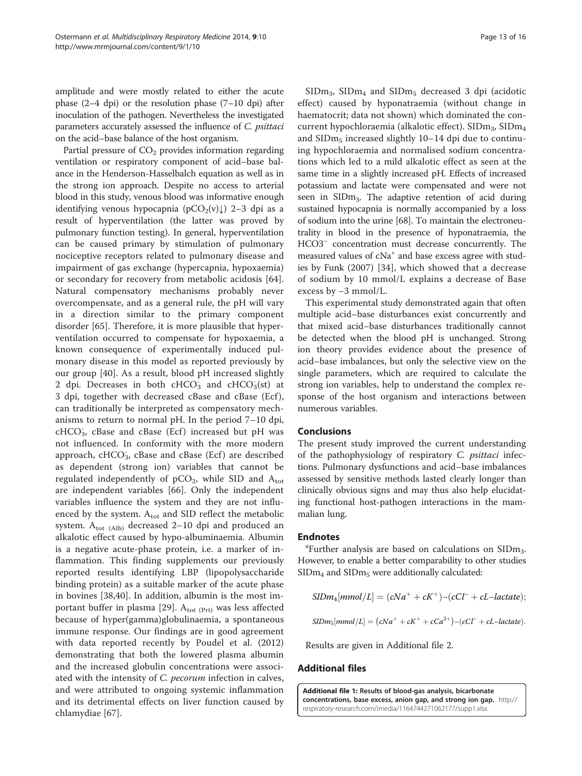<span id="page-12-0"></span>amplitude and were mostly related to either the acute phase (2–4 dpi) or the resolution phase (7–10 dpi) after inoculation of the pathogen. Nevertheless the investigated parameters accurately assessed the influence of C. psittaci on the acid–base balance of the host organism.

Partial pressure of  $CO<sub>2</sub>$  provides information regarding ventilation or respiratory component of acid–base balance in the Henderson-Hasselbalch equation as well as in the strong ion approach. Despite no access to arterial blood in this study, venous blood was informative enough identifying venous hypocapnia ( $pCO_2(v)$ ) 2–3 dpi as a result of hyperventilation (the latter was proved by pulmonary function testing). In general, hyperventilation can be caused primary by stimulation of pulmonary nociceptive receptors related to pulmonary disease and impairment of gas exchange (hypercapnia, hypoxaemia) or secondary for recovery from metabolic acidosis [\[64](#page-14-0)]. Natural compensatory mechanisms probably never overcompensate, and as a general rule, the pH will vary in a direction similar to the primary component disorder [\[65](#page-14-0)]. Therefore, it is more plausible that hyperventilation occurred to compensate for hypoxaemia, a known consequence of experimentally induced pulmonary disease in this model as reported previously by our group [\[40](#page-14-0)]. As a result, blood pH increased slightly 2 dpi. Decreases in both  $cHCO<sub>3</sub><sup>-</sup>$  and  $cHCO<sub>3</sub><sup>-</sup>(st)$  at 3 dpi, together with decreased cBase and cBase (Ecf ), can traditionally be interpreted as compensatory mechanisms to return to normal pH. In the period 7–10 dpi, cHCO<sub>3</sub>, cBase and cBase (Ecf) increased but pH was not influenced. In conformity with the more modern approach, cHCO<sub>3</sub>, cBase and cBase (Ecf) are described as dependent (strong ion) variables that cannot be regulated independently of  $pCO<sub>2</sub>$ , while SID and  $A<sub>tot</sub>$ are independent variables [\[66](#page-14-0)]. Only the independent variables influence the system and they are not influenced by the system.  $A_{\text{tot}}$  and SID reflect the metabolic system.  $A_{\text{tot (Alb)}}$  decreased 2-10 dpi and produced an alkalotic effect caused by hypo-albuminaemia. Albumin is a negative acute-phase protein, i.e. a marker of inflammation. This finding supplements our previously reported results identifying LBP (lipopolysaccharide binding protein) as a suitable marker of the acute phase in bovines [[38,40](#page-14-0)]. In addition, albumin is the most im-portant buffer in plasma [[29\]](#page-14-0).  $A_{\text{tot (Prt)}}$  was less affected because of hyper(gamma)globulinaemia, a spontaneous immune response. Our findings are in good agreement with data reported recently by Poudel et al. (2012) demonstrating that both the lowered plasma albumin and the increased globulin concentrations were associated with the intensity of *C. pecorum* infection in calves, and were attributed to ongoing systemic inflammation and its detrimental effects on liver function caused by chlamydiae [\[67](#page-15-0)].

 $SIDm<sub>3</sub>$ ,  $SIDm<sub>4</sub>$  and  $SIDm<sub>5</sub>$  decreased 3 dpi (acidotic effect) caused by hyponatraemia (without change in haematocrit; data not shown) which dominated the concurrent hypochloraemia (alkalotic effect). SIDm<sub>3</sub>, SIDm<sub>4</sub> and  $\text{SIDm}_5$  increased slightly 10–14 dpi due to continuing hypochloraemia and normalised sodium concentrations which led to a mild alkalotic effect as seen at the same time in a slightly increased pH. Effects of increased potassium and lactate were compensated and were not seen in SIDm3. The adaptive retention of acid during sustained hypocapnia is normally accompanied by a loss of sodium into the urine [\[68\]](#page-15-0). To maintain the electroneutrality in blood in the presence of hyponatraemia, the HCO3– concentration must decrease concurrently. The measured values of  $cNa<sup>+</sup>$  and base excess agree with studies by Funk (2007) [[34](#page-14-0)], which showed that a decrease of sodium by 10 mmol/L explains a decrease of Base excess by −3 mmol/L.

This experimental study demonstrated again that often multiple acid–base disturbances exist concurrently and that mixed acid–base disturbances traditionally cannot be detected when the blood pH is unchanged. Strong ion theory provides evidence about the presence of acid–base imbalances, but only the selective view on the single parameters, which are required to calculate the strong ion variables, help to understand the complex response of the host organism and interactions between numerous variables.

# Conclusions

The present study improved the current understanding of the pathophysiology of respiratory C. psittaci infections. Pulmonary dysfunctions and acid–base imbalances assessed by sensitive methods lasted clearly longer than clinically obvious signs and may thus also help elucidating functional host-pathogen interactions in the mammalian lung.

# **Endnotes**

<sup>a</sup> Further analysis are based on calculations on  $SIDm<sub>3</sub>$ . However, to enable a better comparability to other studies  $SIDm<sub>4</sub>$  and  $SIDm<sub>5</sub>$  were additionally calculated:

$$
SIDm_4[mmol/L] = (cNa^+ + cK^+) - (cCl^- + cL-lactate);
$$

 $SIDm_5[mmol/L] = (cNa^+ + cK^+ + cCa^{2+}) - (cCl^- + cL-lactate).$ 

Results are given in Additional file [2.](#page-13-0)

# Additional files

[Additional file 1:](http://www.biomedcentral.com/content/supplementary/2049-6958-9-10-S1.xlsx) Results of blood-gas analysis, bicarbonate concentrations, base excess, anion gap, and strong ion gap. [http://](http://respiratory-research.com/imedia/1164744271062177/supp1.xlsx) [respiratory-research.com/imedia/1164744271062177/supp1.xlsx.](http://respiratory-research.com/imedia/1164744271062177/supp1.xlsx)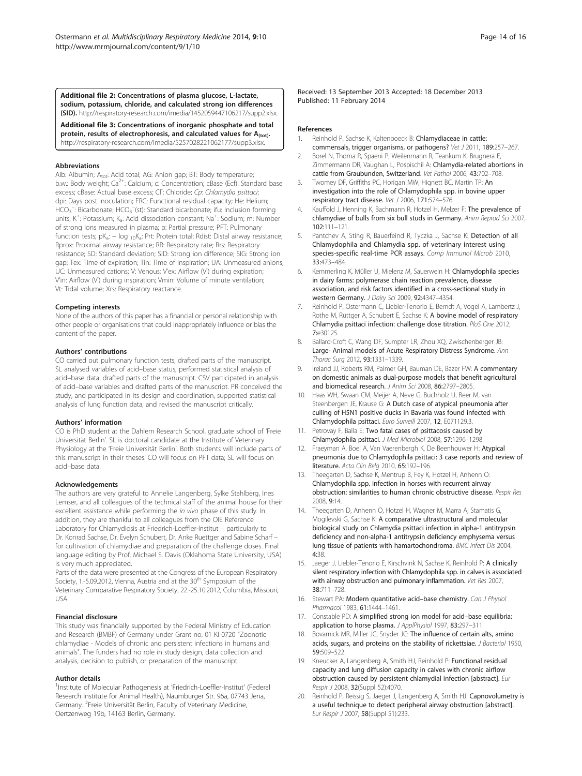<span id="page-13-0"></span>[Additional file 2:](http://www.biomedcentral.com/content/supplementary/2049-6958-9-10-S2.xlsx) Concentrations of plasma glucose, L-lactate, sodium, potassium, chloride, and calculated strong ion differences (SID). <http://respiratory-research.com/imedia/1452059447106217/supp2.xlsx>.

[Additional file 3:](http://www.biomedcentral.com/content/supplementary/2049-6958-9-10-S3.xlsx) Concentrations of inorganic phosphate and total protein, results of electrophoresis, and calculated values for  $A_{(tot)}$ . <http://respiratory-research.com/imedia/5257028221062177/supp3.xlsx>.

#### Abbreviations

Alb: Albumin; Atot: Acid total; AG: Anion gap; BT: Body temperature; b.w.: Body weight; Ca<sup>2+</sup>: Calcium; c: Concentration; cBase (Ecf): Standard base excess; cBase: Actual base excess; CI<sup>-</sup>: Chloride; Cp: Chlamydia psittaci; dpi: Days post inoculation; FRC: Functional residual capacity; He: Helium;  $HCO<sub>3</sub><sup>-</sup>$ : Bicarbonate; HCO<sub>3</sub><sup>-</sup>(st): Standard bicarbonate; ifu: Inclusion forming units; K<sup>+</sup>: Potassium; K<sub>a</sub>: Acid dissociation constant; Na<sup>+</sup>: Sodium; m: Number of strong ions measured in plasma; p: Partial pressure; PFT: Pulmonary function tests; pKa: − log 10Ka; Prt: Protein total; Rdist: Distal airway resistance; Rprox: Proximal airway resistance; RR: Respiratory rate; Rrs: Respiratory resistance; SD: Standard deviation; SID: Strong ion difference; SIG: Strong ion gap; Tex: Time of expiration; Tin: Time of inspiration; UA: Unmeasured anions; UC: Unmeasured cations; V: Venous; V'ex: Airflow (V') during expiration; V'in: Airflow (V') during inspiration; Vmin: Volume of minute ventilation; Vt: Tidal volume; Xrs: Respiratory reactance.

#### Competing interests

None of the authors of this paper has a financial or personal relationship with other people or organisations that could inappropriately influence or bias the content of the paper.

#### Authors' contributions

CO carried out pulmonary function tests, drafted parts of the manuscript. SL analysed variables of acid–base status, performed statistical analysis of acid–base data, drafted parts of the manuscript. CSV participated in analysis of acid–base variables and drafted parts of the manuscript. PR conceived the study, and participated in its design and coordination, supported statistical analysis of lung function data, and revised the manuscript critically.

#### Authors' information

CO is PhD student at the Dahlem Research School, graduate school of 'Freie Universität Berlin'. SL is doctoral candidate at the Institute of Veterinary Physiology at the 'Freie Universität Berlin'. Both students will include parts of this manuscript in their theses. CO will focus on PFT data; SL will focus on acid–base data.

#### Acknowledgements

The authors are very grateful to Annelie Langenberg, Sylke Stahlberg, Ines Lemser, and all colleagues of the technical staff of the animal house for their excellent assistance while performing the in vivo phase of this study. In addition, they are thankful to all colleagues from the OIE Reference Laboratory for Chlamydiosis at Friedrich-Loeffler-Institut – particularly to Dr. Konrad Sachse, Dr. Evelyn Schubert, Dr. Anke Ruettger and Sabine Scharf – for cultivation of chlamydiae and preparation of the challenge doses. Final language editing by Prof. Michael S. Davis (Oklahoma State University, USA) is very much appreciated.

Parts of the data were presented at the Congress of the European Respiratory Society, 1.-5.09.2012, Vienna, Austria and at the 30<sup>th</sup> Symposium of the Veterinary Comparative Respiratory Society, 22.-25.10.2012, Columbia, Missouri, USA.

#### Financial disclosure

This study was financially supported by the Federal Ministry of Education and Research (BMBF) of Germany under Grant no. 01 KI 0720 "Zoonotic chlamydiae - Models of chronic and persistent infections in humans and animals". The funders had no role in study design, data collection and analysis, decision to publish, or preparation of the manuscript.

#### Author details

<sup>1</sup>Institute of Molecular Pathogenesis at 'Friedrich-Loeffler-Institut' (Federal Research Institute for Animal Health), Naumburger Str. 96a, 07743 Jena, Germany. <sup>2</sup>Freie Universität Berlin, Faculty of Veterinary Medicine, Oertzenweg 19b, 14163 Berlin, Germany.

Received: 13 September 2013 Accepted: 18 December 2013 Published: 11 February 2014

#### References

- 1. Reinhold P, Sachse K, Kaltenboeck B: Chlamydiaceae in cattle: commensals, trigger organisms, or pathogens? Vet J 2011, 189:257–267.
- 2. Borel N, Thoma R, Spaeni P, Weilenmann R, Teankum K, Brugnera E, Zimmermann DR, Vaughan L, Pospischil A: Chlamydia-related abortions in cattle from Graubunden, Switzerland. Vet Pathol 2006, 43:702–708.
- 3. Twomey DF, Griffiths PC, Horigan MW, Hignett BC, Martin TP: An investigation into the role of Chlamydophila spp. in bovine upper respiratory tract disease. Vet J 2006, 171:574–576.
- Kauffold J, Henning K, Bachmann R, Hotzel H, Melzer F: The prevalence of chlamydiae of bulls from six bull studs in Germany. Anim Reprod Sci 2007, 102:111–121.
- Pantchev A, Sting R, Bauerfeind R, Tyczka J, Sachse K: Detection of all Chlamydophila and Chlamydia spp. of veterinary interest using species-specific real-time PCR assays. Comp Immunol Microb 2010, 33:473–484.
- 6. Kemmerling K, Müller U, Mielenz M, Sauerwein H: Chlamydophila species in dairy farms: polymerase chain reaction prevalence, disease association, and risk factors identified in a cross-sectional study in western Germany. J Dairy Sci 2009, 92:4347–4354.
- 7. Reinhold P, Ostermann C, Liebler-Tenorio E, Berndt A, Vogel A, Lambertz J, Rothe M, Rüttger A, Schubert E, Sachse K: A bovine model of respiratory Chlamydia psittaci infection: challenge dose titration. PloS One 2012, 7:e30125.
- 8. Ballard-Croft C, Wang DF, Sumpter LR, Zhou XQ, Zwischenberger JB: Large- Animal models of Acute Respiratory Distress Syndrome. Ann Thorac Surg 2012, 93:1331–1339.
- 9. Ireland JJ, Roberts RM, Palmer GH, Bauman DE, Bazer FW; A commentary on domestic animals as dual-purpose models that benefit agricultural and biomedical research. J Anim Sci 2008, 86:2797–2805.
- 10. Haas WH, Swaan CM, Meijer A, Neve G, Buchholz U, Beer M, van Steenbergen JE, Krause G: A Dutch case of atypical pneumonia after culling of H5N1 positive ducks in Bavaria was found infected with Chlamydophila psittaci. Euro Surveill 2007, 12, E071129.3.
- 11. Petrovay F, Balla E: Two fatal cases of psittacosis caused by Chlamydophila psittaci. J Med Microbiol 2008, 57:1296–1298.
- 12. Fraeyman A, Boel A, Van Vaerenbergh K, De Beenhouwer H: Atypical pneumonia due to Chlamydophila psittaci: 3 case reports and review of literature. Acta Clin Belg 2010, 65:192–196.
- 13. Theegarten D, Sachse K, Mentrup B, Fey K, Hotzel H, Anhenn O: Chlamydophila spp. infection in horses with recurrent airway obstruction: similarities to human chronic obstructive disease. Respir Res 2008, 9:14.
- 14. Theegarten D, Anhenn O, Hotzel H, Wagner M, Marra A, Stamatis G, Mogilevski G, Sachse K: A comparative ultrastructural and molecular biological study on Chlamydia psittaci infection in alpha-1 antitrypsin deficiency and non-alpha-1 antitrypsin deficiency emphysema versus lung tissue of patients with hamartochondroma. BMC Infect Dis 2004, 4:38.
- 15. Jaeger J, Liebler-Tenorio E, Kirschvink N, Sachse K, Reinhold P: A clinically silent respiratory infection with Chlamydophila spp. in calves is associated with airway obstruction and pulmonary inflammation. Vet Res 2007, 38:711–728.
- 16. Stewart PA: Modern quantitative acid-base chemistry. Can J Physiol Pharmacol 1983, 61:1444–1461.
- 17. Constable PD: A simplified strong ion model for acid–base equilibria: application to horse plasma. J ApplPhysiol 1997, 83:297-311
- 18. Bovarnick MR, Miller JC, Snyder JC: The influence of certain alts, amino acids, sugars, and proteins on the stability of rickettsiae. J Bacteriol 1950, 59:509–522.
- 19. Kneucker A, Langenberg A, Smith HJ, Reinhold P: Functional residual capacity and lung diffusion capacity in calves with chronic airflow obstruction caused by persistent chlamydial infection [abstract]. Eur Respir J 2008, 32(Suppl 52):4070.
- 20. Reinhold P, Reissig S, Jaeger J, Langenberg A, Smith HJ: Capnovolumetry is a useful technique to detect peripheral airway obstruction [abstract]. Eur Respir J 2007, 58(Suppl 51):233.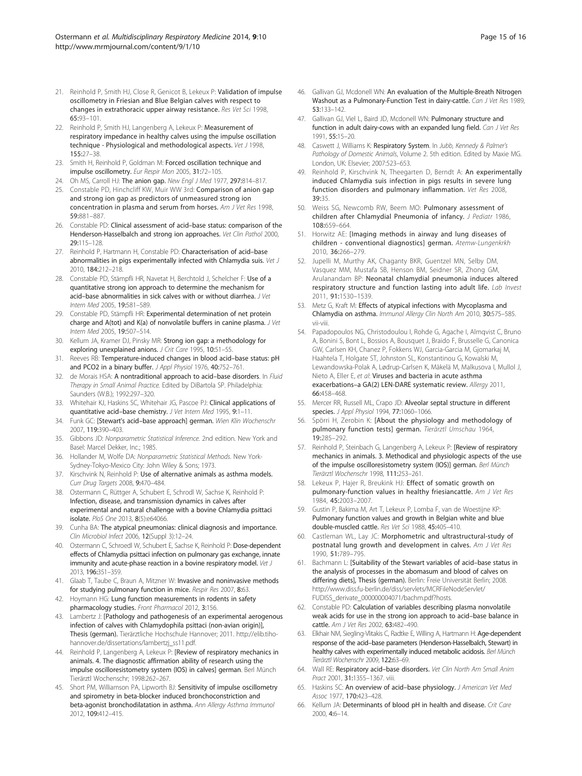- <span id="page-14-0"></span>21. Reinhold P, Smith HJ, Close R, Genicot B, Lekeux P: Validation of impulse oscillometry in Friesian and Blue Belgian calves with respect to changes in extrathoracic upper airway resistance. Res Vet Sci 1998, 65:93–101.
- 22. Reinhold P, Smith HJ, Langenberg A, Lekeux P: Measurement of respiratory impedance in healthy calves using the impulse oscillation technique - Physiological and methodological aspects. Vet J 1998, 155:27–38.
- 23. Smith H, Reinhold P, Goldman M: Forced oscillation technique and impulse oscillometry. Eur Respir Mon 2005, 31:72–105.
- 24. Oh MS, Carroll HJ: The anion gap. New Engl J Med 1977, 297:814-817.
- 25. Constable PD, Hinchcliff KW, Muir WW 3rd: Comparison of anion gap and strong ion gap as predictors of unmeasured strong ion concentration in plasma and serum from horses. Am J Vet Res 1998, 59:881–887.
- 26. Constable PD: Clinical assessment of acid–base status: comparison of the Henderson-Hasselbalch and strong ion approaches. Vet Clin Pathol 2000, 29:115–128.
- 27. Reinhold P, Hartmann H, Constable PD: Characterisation of acid-base abnormalities in pigs experimentally infected with Chlamydia suis. Vet J 2010, 184:212–218.
- 28. Constable PD, Stämpfli HR, Navetat H, Berchtold J, Schelcher F: Use of a quantitative strong ion approach to determine the mechanism for acid-base abnormalities in sick calves with or without diarrhea. J Vet Intern Med 2005, 19:581–589.
- 29. Constable PD, Stämpfli HR: Experimental determination of net protein charge and A(tot) and K(a) of nonvolatile buffers in canine plasma. J Vet Intern Med 2005, 19:507–514.
- 30. Kellum JA, Kramer DJ, Pinsky MR: Strong ion gap: a methodology for exploring unexplained anions. J Crit Care 1995, 10:51-55.
- 31. Reeves RB: Temperature-induced changes in blood acid–base status: pH and PCO2 in a binary buffer. J Appl Physiol 1976, 40:752-761.
- 32. de Morais HSA: A nontraditional approach to acid-base disorders. In Fluid Therapy in Small Animal Practice. Edited by DiBartola SP. Philadelphia: Saunders (W.B.); 1992:297–320.
- 33. Whitehair KJ, Haskins SC, Whitehair JG, Pascoe PJ: Clinical applications of quantitative acid–base chemistry. J Vet Intern Med 1995, 9:1–11.
- 34. Funk GC: [Stewart's acid-base approach] german. Wien Klin Wochenschr 2007, 119:390–403.
- 35. Gibbons JD: Nonparametric Statistical Inference. 2nd edition. New York and Basel: Marcel Dekker, Inc.; 1985.
- 36. Hollander M, Wolfe DA: Nonparametric Statistical Methods. New York-Sydney-Tokyo-Mexico City: John Wiley & Sons; 1973.
- 37. Kirschvink N, Reinhold P: Use of alternative animals as asthma models. Curr Drug Targets 2008, 9:470–484.
- 38. Ostermann C, Rüttger A, Schubert E, Schrodl W, Sachse K, Reinhold P: Infection, disease, and transmission dynamics in calves after experimental and natural challenge with a bovine Chlamydia psittaci isolate. PloS One 2013, 8(5):e64066.
- 39. Cunha BA: The atypical pneumonias: clinical diagnosis and importance. Clin Microbiol Infect 2006, 12(Suppl 3):12–24.
- 40. Ostermann C, Schroedl W, Schubert E, Sachse K, Reinhold P: Dose-dependent effects of Chlamydia psittaci infection on pulmonary gas exchange, innate immunity and acute-phase reaction in a bovine respiratory model. Vet J 2013, 196:351–359.
- 41. Glaab T, Taube C, Braun A, Mitzner W: Invasive and noninvasive methods for studying pulmonary function in mice. Respir Res 2007, 8:63.
- 42. Hoymann HG: Lung function measurements in rodents in safety pharmacology studies. Front Pharmacol 2012, 3:156.
- 43. Lambertz J: [Pathology and pathogenesis of an experimental aerogenous infection of calves with Chlamydophila psittaci (non-avian origin)], Thesis (german). Tierärztliche Hochschule Hannover; 2011. [http://elib.tiho](http://elib.tiho-hannover.de/dissertations/lambertzj_ss11.pdf)[hannover.de/dissertations/lambertzj\\_ss11.pdf.](http://elib.tiho-hannover.de/dissertations/lambertzj_ss11.pdf)
- 44. Reinhold P, Langenberg A, Lekeux P: [Review of respiratory mechanics in animals. 4. The diagnostic affirmation ability of research using the impulse oscilloresistometry system (IOS) in calves] german. Berl Münch Tierärztl Wochenschr; 1998:262–267.
- 45. Short PM, Williamson PA, Lipworth BJ: Sensitivity of impulse oscillometry and spirometry in beta-blocker induced bronchoconstriction and beta-agonist bronchodilatation in asthma. Ann Allergy Asthma Immunol 2012, 109:412–415.
- 46. Gallivan GJ, Mcdonell WN: An evaluation of the Multiple-Breath Nitrogen Washout as a Pulmonary-Function Test in dairy-cattle. Can J Vet Res 1989, 53:133–142.
- 47. Gallivan GJ, Viel L, Baird JD, Mcdonell WN: Pulmonary structure and function in adult dairy-cows with an expanded lung field. Can J Vet Res 1991, 55:15–20.
- 48. Caswett J, Williams K: Respiratory System. In Jubb, Kennedy & Palmer's Pathology of Domestic Animals, Volume 2. 5th edition. Edited by Maxie MG. London, UK: Elsevier; 2007:523–653.
- 49. Reinhold P, Kirschvink N, Theegarten D, Berndt A: An experimentally induced Chlamydia suis infection in pigs results in severe lung function disorders and pulmonary inflammation. Vet Res 2008, 39:35.
- 50. Weiss SG, Newcomb RW, Beem MO: Pulmonary assessment of children after Chlamydial Pneumonia of infancy. J Pediatr 1986, 108:659–664.
- 51. Horwitz AE: [Imaging methods in airway and lung diseases of children - conventional diagnostics] german. Atemw-Lungenkrkh 2010, 36:266–279.
- 52. Jupelli M, Murthy AK, Chaganty BKR, Guentzel MN, Selby DM, Vasquez MM, Mustafa SB, Henson BM, Seidner SR, Zhong GM, Arulanandam BP: Neonatal chlamydial pneumonia induces altered respiratory structure and function lasting into adult life. Lab Invest 2011, 91:1530–1539.
- 53. Metz G, Kraft M: Effects of atypical infections with Mycoplasma and Chlamydia on asthma. Immunol Allergy Clin North Am 2010, 30:575–585. vii-viii.
- 54. Papadopoulos NG, Christodoulou I, Rohde G, Agache I, Almqvist C, Bruno A, Bonini S, Bont L, Bossios A, Bousquet J, Braido F, Brusselle G, Canonica GW, Carlsen KH, Chanez P, Fokkens WJ, Garcia-Garcia M, Gjomarkaj M, Haahtela T, Holgate ST, Johnston SL, Konstantinou G, Kowalski M, Lewandowska-Polak A, Lødrup-Carlsen K, Mäkelä M, Malkusova I, Mullol J, Nieto A, Eller E, et al: Viruses and bacteria in acute asthma exacerbations–a GA(2) LEN-DARE systematic review. Allergy 2011, 66:458–468.
- 55. Mercer RR, Russell ML, Crapo JD: Alveolar septal structure in different species. J Appl Physiol 1994, 77:1060-1066.
- 56. Spörri H, Zerobin K: [About the physiology and methodology of pulmonary function tests] german. Tierärztl Umschau 1964, 19:285–292.
- 57. Reinhold P, Steinbach G, Langenberg A, Lekeux P: [Review of respiratory mechanics in animals. 3. Methodical and physiologic aspects of the use of the impulse oscilloresistometry system (IOS)] german. Berl Münch Tierärztl Wochenschr 1998, 111:253–261.
- 58. Lekeux P, Hajer R, Breukink HJ: Effect of somatic growth on pulmonary-function values in healthy friesiancattle. Am J Vet Res 1984, 45:2003–2007.
- 59. Gustin P, Bakima M, Art T, Lekeux P, Lomba F, van de Woestijne KP: Pulmonary function values and growth in Belgian white and blue double-muscled cattle. Res Vet Sci 1988, 45:405–410.
- 60. Castleman WL, Lay JC: Morphometric and ultrastructural-study of postnatal lung growth and development in calves. Am J Vet Res 1990, 51:789–795.
- 61. Bachmann L: [Suitability of the Stewart variables of acid–base status in the analysis of processes in the abomasum and blood of calves on differing diets], Thesis (german). Berlin: Freie Universität Berlin; 2008. [http://www.diss.fu-berlin.de/diss/servlets/MCRFileNodeServlet/](http://www.diss.fu-berlin.de/diss/servlets/MCRFileNodeServlet/FUDISS_derivate_000000004071/bachm.pdf?hosts) [FUDISS\\_derivate\\_000000004071/bachm.pdf?hosts](http://www.diss.fu-berlin.de/diss/servlets/MCRFileNodeServlet/FUDISS_derivate_000000004071/bachm.pdf?hosts).
- 62. Constable PD: Calculation of variables describing plasma nonvolatile weak acids for use in the strong ion approach to acid–base balance in cattle. Am J Vet Res 2002, 63:482-490.
- 63. Elkhair NM, Siegling-Vlitakis C, Radtke E, Willing A, Hartmann H: Age-dependent response of the acid–base parameters (Henderson-Hasselbalch, Stewart) in healthy calves with experimentally induced metabolic acidosis. Berl Münch Tierärztl Wochenschr 2009, 122:63–69.
- 64. Wall RE: Respiratory acid-base disorders. Vet Clin North Am Small Anim Pract 2001, 31:1355–1367. viii.
- Haskins SC: An overview of acid-base physiology. J American Vet Med Assoc 1977, 170:423–428.
- 66. Kellum JA: Determinants of blood pH in health and disease. Crit Care 2000, 4:6–14.